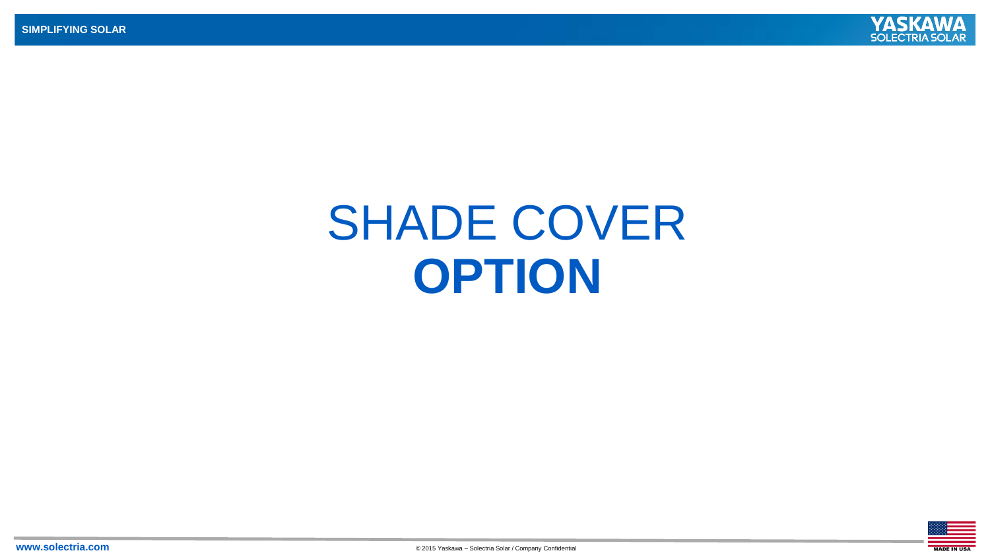

## SHADE COVER **OPTION**

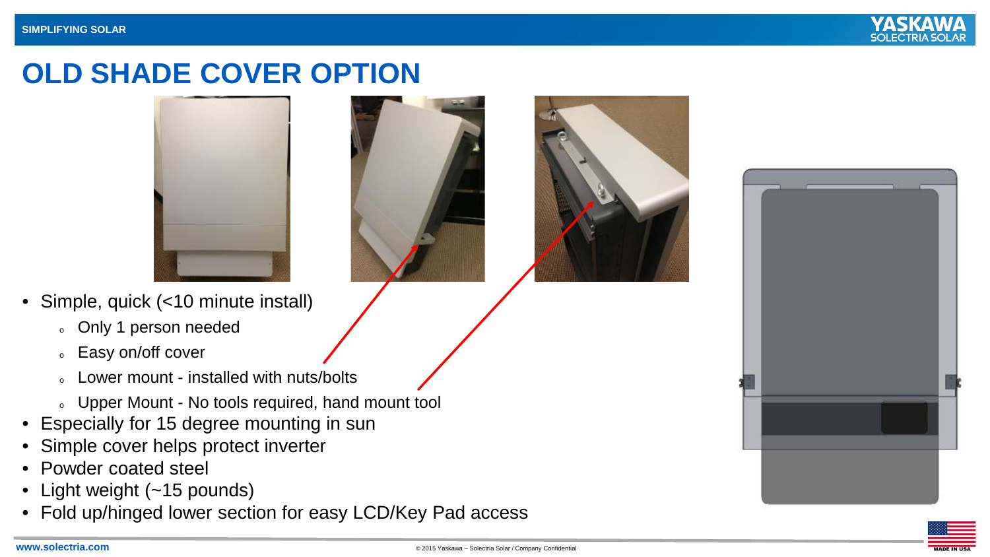

## **OLD SHADE COVER OPTION**







- Simple, quick (<10 minute install)
	- <sup>o</sup> Only 1 person needed
	- <sup>o</sup> Easy on/off cover
	- Lower mount installed with nuts/bolts
	- o Upper Mount No tools required, hand mount tool
- Especially for 15 degree mounting in sun
- Simple cover helps protect inverter
- Powder coated steel
- Light weight (~15 pounds)
- Fold up/hinged lower section for easy LCD/Key Pad access



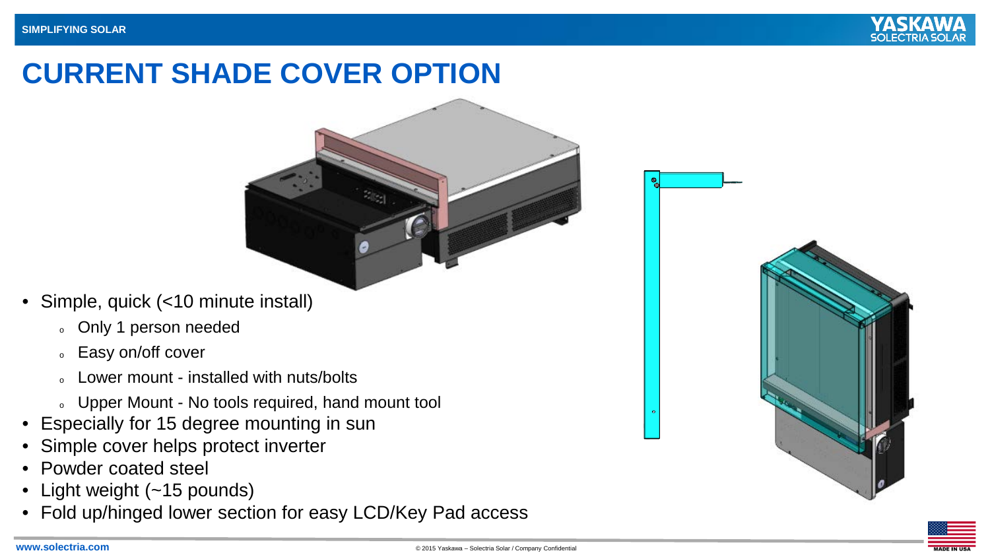

## **CURRENT SHADE COVER OPTION**



- Simple, quick (<10 minute install)
	- <sup>o</sup> Only 1 person needed
	- **Easy on/off cover**
	- Lower mount installed with nuts/bolts
	- o Upper Mount No tools required, hand mount tool
- Especially for 15 degree mounting in sun
- Simple cover helps protect inverter
- Powder coated steel
- Light weight (~15 pounds)
- Fold up/hinged lower section for easy LCD/Key Pad access